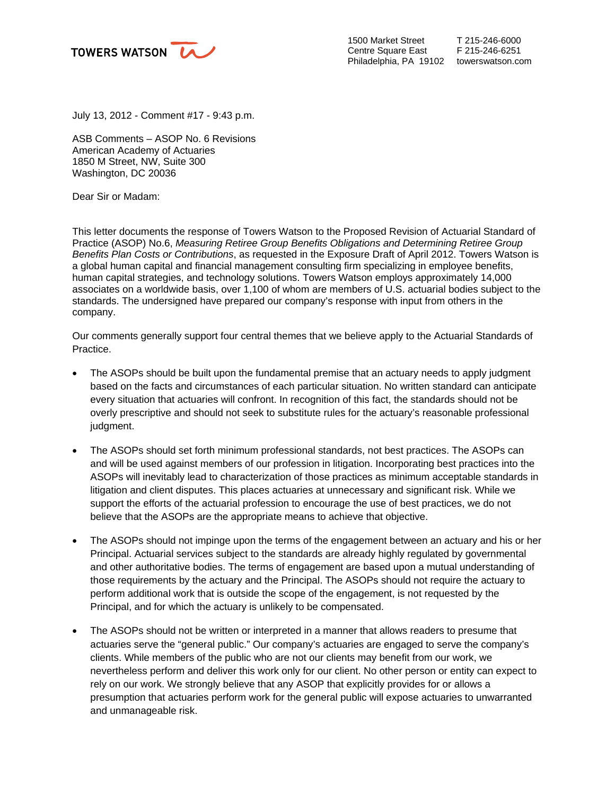

1500 Market Street Centre Square East Philadelphia, PA 19102 towerswatson.com

July 13, 2012 - Comment #17 - 9:43 p.m.

ASB Comments – ASOP No. 6 Revisions American Academy of Actuaries 1850 M Street, NW, Suite 300 Washington, DC 20036

Dear Sir or Madam:

This letter documents the response of Towers Watson to the Proposed Revision of Actuarial Standard of Practice (ASOP) No.6, *Measuring Retiree Group Benefits Obligations and Determining Retiree Group Benefits Plan Costs or Contributions*, as requested in the Exposure Draft of April 2012. Towers Watson is a global human capital and financial management consulting firm specializing in employee benefits, human capital strategies, and technology solutions. Towers Watson employs approximately 14,000 associates on a worldwide basis, over 1,100 of whom are members of U.S. actuarial bodies subject to the standards. The undersigned have prepared our company's response with input from others in the company.

Our comments generally support four central themes that we believe apply to the Actuarial Standards of Practice.

- The ASOPs should be built upon the fundamental premise that an actuary needs to apply judgment based on the facts and circumstances of each particular situation. No written standard can anticipate every situation that actuaries will confront. In recognition of this fact, the standards should not be overly prescriptive and should not seek to substitute rules for the actuary's reasonable professional judgment.
- The ASOPs should set forth minimum professional standards, not best practices. The ASOPs can and will be used against members of our profession in litigation. Incorporating best practices into the ASOPs will inevitably lead to characterization of those practices as minimum acceptable standards in litigation and client disputes. This places actuaries at unnecessary and significant risk. While we support the efforts of the actuarial profession to encourage the use of best practices, we do not believe that the ASOPs are the appropriate means to achieve that objective.
- The ASOPs should not impinge upon the terms of the engagement between an actuary and his or her Principal. Actuarial services subject to the standards are already highly regulated by governmental and other authoritative bodies. The terms of engagement are based upon a mutual understanding of those requirements by the actuary and the Principal. The ASOPs should not require the actuary to perform additional work that is outside the scope of the engagement, is not requested by the Principal, and for which the actuary is unlikely to be compensated.
- The ASOPs should not be written or interpreted in a manner that allows readers to presume that actuaries serve the "general public." Our company's actuaries are engaged to serve the company's clients. While members of the public who are not our clients may benefit from our work, we nevertheless perform and deliver this work only for our client. No other person or entity can expect to rely on our work. We strongly believe that any ASOP that explicitly provides for or allows a presumption that actuaries perform work for the general public will expose actuaries to unwarranted and unmanageable risk.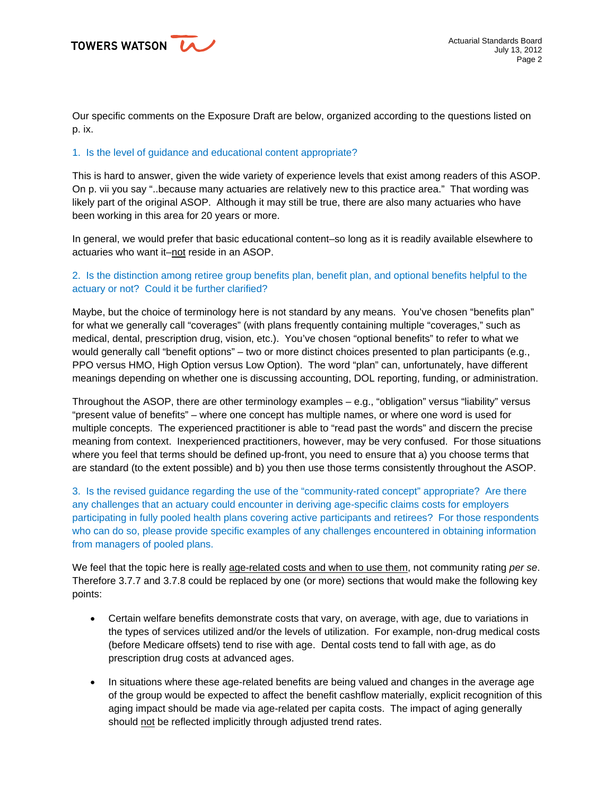TOWERS WATSON LA

Our specific comments on the Exposure Draft are below, organized according to the questions listed on p. ix.

## 1. Is the level of guidance and educational content appropriate?

This is hard to answer, given the wide variety of experience levels that exist among readers of this ASOP. On p. vii you say "..because many actuaries are relatively new to this practice area." That wording was likely part of the original ASOP. Although it may still be true, there are also many actuaries who have been working in this area for 20 years or more.

In general, we would prefer that basic educational content–so long as it is readily available elsewhere to actuaries who want it–not reside in an ASOP.

## 2. Is the distinction among retiree group benefits plan, benefit plan, and optional benefits helpful to the actuary or not? Could it be further clarified?

Maybe, but the choice of terminology here is not standard by any means. You've chosen "benefits plan" for what we generally call "coverages" (with plans frequently containing multiple "coverages," such as medical, dental, prescription drug, vision, etc.). You've chosen "optional benefits" to refer to what we would generally call "benefit options" – two or more distinct choices presented to plan participants (e.g., PPO versus HMO, High Option versus Low Option). The word "plan" can, unfortunately, have different meanings depending on whether one is discussing accounting, DOL reporting, funding, or administration.

Throughout the ASOP, there are other terminology examples – e.g., "obligation" versus "liability" versus "present value of benefits" – where one concept has multiple names, or where one word is used for multiple concepts. The experienced practitioner is able to "read past the words" and discern the precise meaning from context. Inexperienced practitioners, however, may be very confused. For those situations where you feel that terms should be defined up-front, you need to ensure that a) you choose terms that are standard (to the extent possible) and b) you then use those terms consistently throughout the ASOP.

3. Is the revised guidance regarding the use of the "community-rated concept" appropriate? Are there any challenges that an actuary could encounter in deriving age-specific claims costs for employers participating in fully pooled health plans covering active participants and retirees? For those respondents who can do so, please provide specific examples of any challenges encountered in obtaining information from managers of pooled plans.

We feel that the topic here is really age-related costs and when to use them, not community rating *per se*. Therefore 3.7.7 and 3.7.8 could be replaced by one (or more) sections that would make the following key points:

- Certain welfare benefits demonstrate costs that vary, on average, with age, due to variations in the types of services utilized and/or the levels of utilization. For example, non-drug medical costs (before Medicare offsets) tend to rise with age. Dental costs tend to fall with age, as do prescription drug costs at advanced ages.
- In situations where these age-related benefits are being valued and changes in the average age of the group would be expected to affect the benefit cashflow materially, explicit recognition of this aging impact should be made via age-related per capita costs. The impact of aging generally should not be reflected implicitly through adjusted trend rates.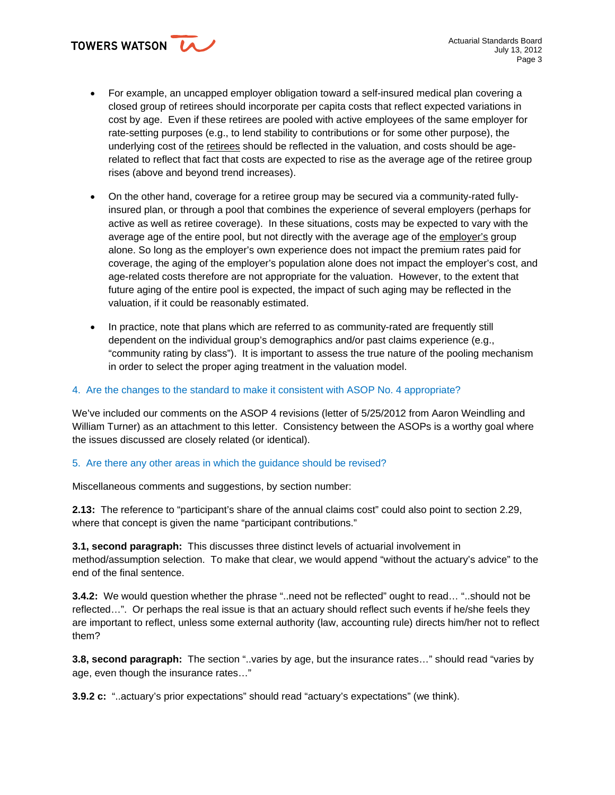TOWERS WATSON

- For example, an uncapped employer obligation toward a self-insured medical plan covering a closed group of retirees should incorporate per capita costs that reflect expected variations in cost by age. Even if these retirees are pooled with active employees of the same employer for rate-setting purposes (e.g., to lend stability to contributions or for some other purpose), the underlying cost of the retirees should be reflected in the valuation, and costs should be agerelated to reflect that fact that costs are expected to rise as the average age of the retiree group rises (above and beyond trend increases).
- On the other hand, coverage for a retiree group may be secured via a community-rated fullyinsured plan, or through a pool that combines the experience of several employers (perhaps for active as well as retiree coverage). In these situations, costs may be expected to vary with the average age of the entire pool, but not directly with the average age of the employer's group alone. So long as the employer's own experience does not impact the premium rates paid for coverage, the aging of the employer's population alone does not impact the employer's cost, and age-related costs therefore are not appropriate for the valuation. However, to the extent that future aging of the entire pool is expected, the impact of such aging may be reflected in the valuation, if it could be reasonably estimated.
- In practice, note that plans which are referred to as community-rated are frequently still dependent on the individual group's demographics and/or past claims experience (e.g., "community rating by class"). It is important to assess the true nature of the pooling mechanism in order to select the proper aging treatment in the valuation model.

## 4. Are the changes to the standard to make it consistent with ASOP No. 4 appropriate?

We've included our comments on the ASOP 4 revisions (letter of 5/25/2012 from Aaron Weindling and William Turner) as an attachment to this letter. Consistency between the ASOPs is a worthy goal where the issues discussed are closely related (or identical).

## 5. Are there any other areas in which the guidance should be revised?

Miscellaneous comments and suggestions, by section number:

**2.13:** The reference to "participant's share of the annual claims cost" could also point to section 2.29, where that concept is given the name "participant contributions."

**3.1, second paragraph:** This discusses three distinct levels of actuarial involvement in method/assumption selection. To make that clear, we would append "without the actuary's advice" to the end of the final sentence.

**3.4.2:** We would question whether the phrase "..need not be reflected" ought to read… "..should not be reflected…". Or perhaps the real issue is that an actuary should reflect such events if he/she feels they are important to reflect, unless some external authority (law, accounting rule) directs him/her not to reflect them?

**3.8, second paragraph:** The section "..varies by age, but the insurance rates…" should read "varies by age, even though the insurance rates…"

**3.9.2 c:** "..actuary's prior expectations" should read "actuary's expectations" (we think).